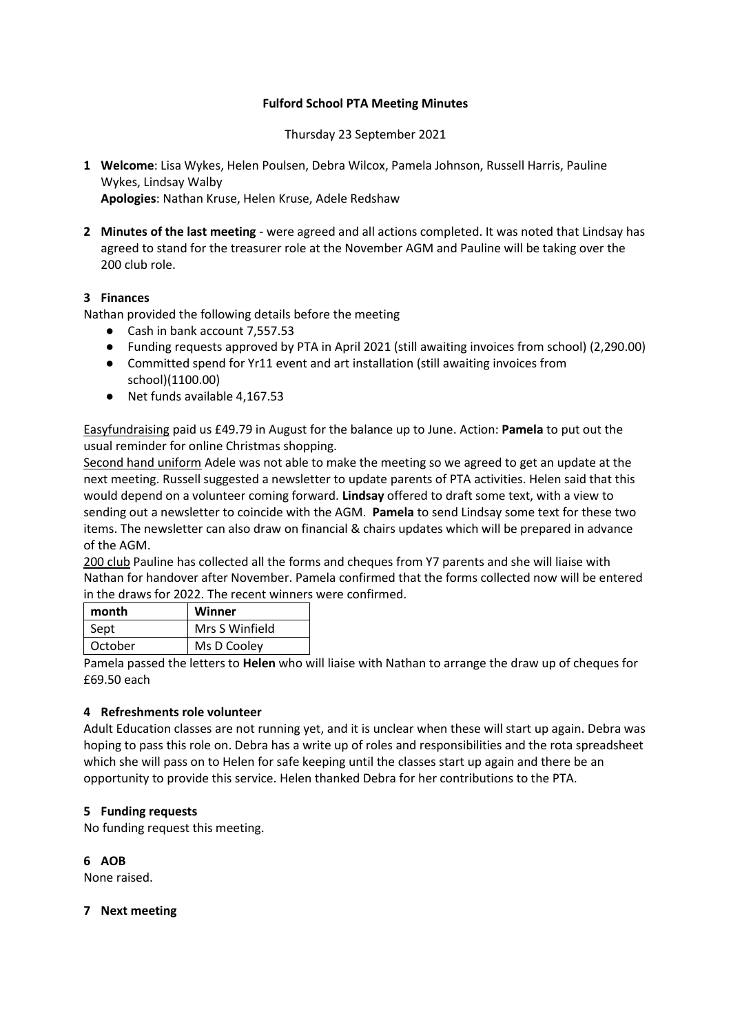## **Fulford School PTA Meeting Minutes**

Thursday 23 September 2021

- **1 Welcome**: Lisa Wykes, Helen Poulsen, Debra Wilcox, Pamela Johnson, Russell Harris, Pauline Wykes, Lindsay Walby **Apologies**: Nathan Kruse, Helen Kruse, Adele Redshaw
- **2 Minutes of the last meeting** were agreed and all actions completed. It was noted that Lindsay has agreed to stand for the treasurer role at the November AGM and Pauline will be taking over the 200 club role.

## **3 Finances**

Nathan provided the following details before the meeting

- Cash in bank account 7,557.53
- Funding requests approved by PTA in April 2021 (still awaiting invoices from school) (2,290.00)
- Committed spend for Yr11 event and art installation (still awaiting invoices from school)(1100.00)
- Net funds available 4,167.53

Easyfundraising paid us £49.79 in August for the balance up to June. Action: **Pamela** to put out the usual reminder for online Christmas shopping.

Second hand uniform Adele was not able to make the meeting so we agreed to get an update at the next meeting. Russell suggested a newsletter to update parents of PTA activities. Helen said that this would depend on a volunteer coming forward. **Lindsay** offered to draft some text, with a view to sending out a newsletter to coincide with the AGM. **Pamela** to send Lindsay some text for these two items. The newsletter can also draw on financial & chairs updates which will be prepared in advance of the AGM.

200 club Pauline has collected all the forms and cheques from Y7 parents and she will liaise with Nathan for handover after November. Pamela confirmed that the forms collected now will be entered in the draws for 2022. The recent winners were confirmed.

| month   | Winner         |
|---------|----------------|
| Sept    | Mrs S Winfield |
| October | Ms D Cooley    |

Pamela passed the letters to **Helen** who will liaise with Nathan to arrange the draw up of cheques for £69.50 each

## **4 Refreshments role volunteer**

Adult Education classes are not running yet, and it is unclear when these will start up again. Debra was hoping to pass this role on. Debra has a write up of roles and responsibilities and the rota spreadsheet which she will pass on to Helen for safe keeping until the classes start up again and there be an opportunity to provide this service. Helen thanked Debra for her contributions to the PTA.

## **5 Funding requests**

No funding request this meeting.

**6 AOB**

None raised.

**7 Next meeting**